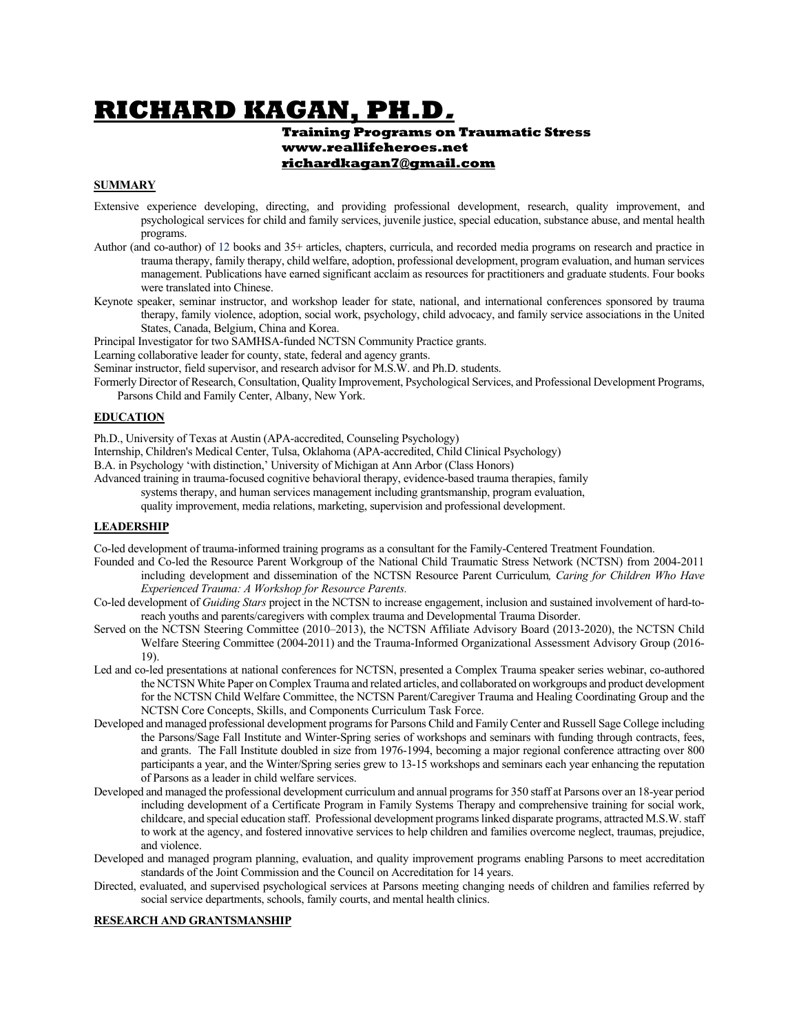# **RICHARD KAGAN, PH.D.**

#### **Training Programs on Traumatic Stress www.reallifeheroes.net richardkagan7@gmail.com**

## **SUMMARY**

- Extensive experience developing, directing, and providing professional development, research, quality improvement, and psychological services for child and family services, juvenile justice, special education, substance abuse, and mental health programs.
- Author (and co-author) of 12 books and 35+ articles, chapters, curricula, and recorded media programs on research and practice in trauma therapy, family therapy, child welfare, adoption, professional development, program evaluation, and human services management. Publications have earned significant acclaim as resources for practitioners and graduate students. Four books were translated into Chinese.
- Keynote speaker, seminar instructor, and workshop leader for state, national, and international conferences sponsored by trauma therapy, family violence, adoption, social work, psychology, child advocacy, and family service associations in the United States, Canada, Belgium, China and Korea.
- Principal Investigator for two SAMHSA-funded NCTSN Community Practice grants.

Learning collaborative leader for county, state, federal and agency grants.

Seminar instructor, field supervisor, and research advisor for M.S.W. and Ph.D. students.

Formerly Director of Research, Consultation, Quality Improvement, Psychological Services, and Professional Development Programs, Parsons Child and Family Center, Albany, New York.

#### **EDUCATION**

Ph.D., University of Texas at Austin (APA-accredited, Counseling Psychology)

Internship, Children's Medical Center, Tulsa, Oklahoma (APA-accredited, Child Clinical Psychology)

B.A. in Psychology 'with distinction,' University of Michigan at Ann Arbor (Class Honors)

Advanced training in trauma-focused cognitive behavioral therapy, evidence-based trauma therapies, family

systems therapy, and human services management including grantsmanship, program evaluation,

quality improvement, media relations, marketing, supervision and professional development.

#### **LEADERSHIP**

Co-led development of trauma-informed training programs as a consultant for the Family-Centered Treatment Foundation.

- Founded and Co-led the Resource Parent Workgroup of the National Child Traumatic Stress Network (NCTSN) from 2004-2011 including development and dissemination of the NCTSN Resource Parent Curriculum*, Caring for Children Who Have Experienced Trauma: A Workshop for Resource Parents.*
- Co-led development of *Guiding Stars* project in the NCTSN to increase engagement, inclusion and sustained involvement of hard-toreach youths and parents/caregivers with complex trauma and Developmental Trauma Disorder.
- Served on the NCTSN Steering Committee (2010–2013), the NCTSN Affiliate Advisory Board (2013-2020), the NCTSN Child Welfare Steering Committee (2004-2011) and the Trauma-Informed Organizational Assessment Advisory Group (2016- 19).
- Led and co-led presentations at national conferences for NCTSN, presented a Complex Trauma speaker series webinar, co-authored the NCTSN White Paper on Complex Trauma and related articles, and collaborated on workgroups and product development for the NCTSN Child Welfare Committee, the NCTSN Parent/Caregiver Trauma and Healing Coordinating Group and the NCTSN Core Concepts, Skills, and Components Curriculum Task Force.
- Developed and managed professional development programs for Parsons Child and Family Center and Russell Sage College including the Parsons/Sage Fall Institute and Winter-Spring series of workshops and seminars with funding through contracts, fees, and grants. The Fall Institute doubled in size from 1976-1994, becoming a major regional conference attracting over 800 participants a year, and the Winter/Spring series grew to 13-15 workshops and seminars each year enhancing the reputation of Parsons as a leader in child welfare services.
- Developed and managed the professional development curriculum and annual programs for 350 staff at Parsons over an 18-year period including development of a Certificate Program in Family Systems Therapy and comprehensive training for social work, childcare, and special education staff. Professional development programs linked disparate programs, attracted M.S.W. staff to work at the agency, and fostered innovative services to help children and families overcome neglect, traumas, prejudice, and violence.
- Developed and managed program planning, evaluation, and quality improvement programs enabling Parsons to meet accreditation standards of the Joint Commission and the Council on Accreditation for 14 years.
- Directed, evaluated, and supervised psychological services at Parsons meeting changing needs of children and families referred by social service departments, schools, family courts, and mental health clinics.

#### **RESEARCH AND GRANTSMANSHIP**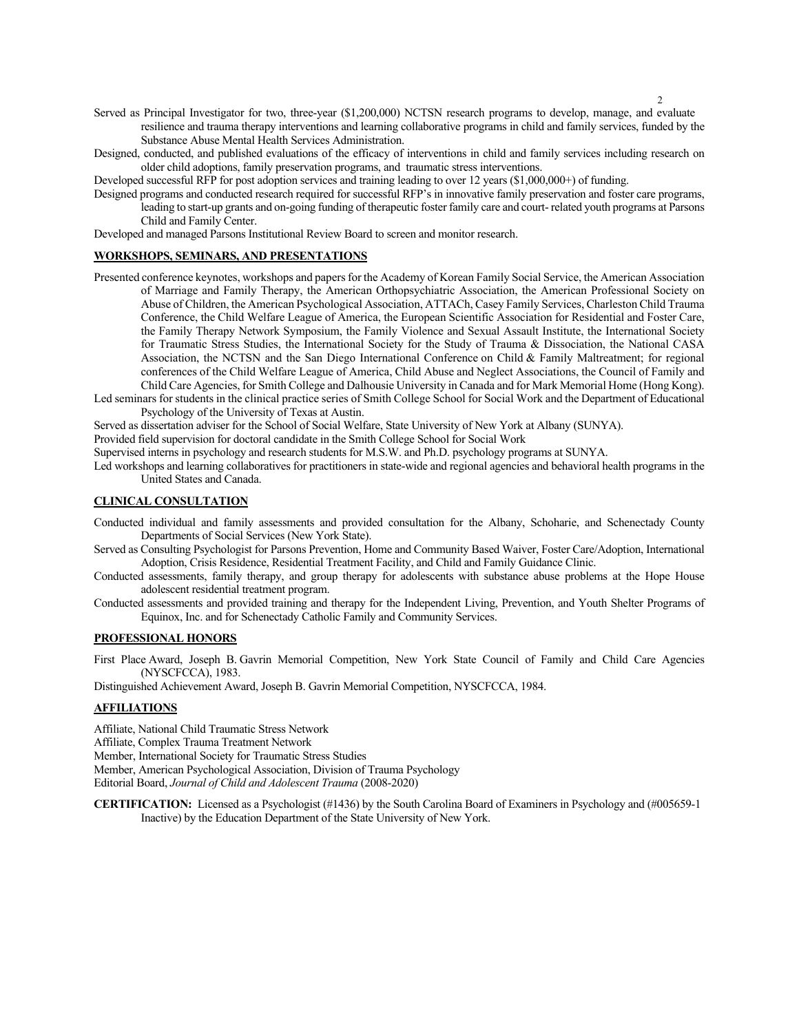- 2
- Served as Principal Investigator for two, three-year (\$1,200,000) NCTSN research programs to develop, manage, and evaluate resilience and trauma therapy interventions and learning collaborative programs in child and family services, funded by the Substance Abuse Mental Health Services Administration.
- Designed, conducted, and published evaluations of the efficacy of interventions in child and family services including research on older child adoptions, family preservation programs, and traumatic stress interventions.

Developed successful RFP for post adoption services and training leading to over 12 years (\$1,000,000+) of funding.

Designed programs and conducted research required for successful RFP's in innovative family preservation and foster care programs, leading to start-up grants and on-going funding of therapeutic foster family care and court- related youth programs at Parsons Child and Family Center.

Developed and managed Parsons Institutional Review Board to screen and monitor research.

#### **WORKSHOPS, SEMINARS, AND PRESENTATIONS**

- Presented conference keynotes, workshops and papers for the Academy of Korean Family Social Service, the American Association of Marriage and Family Therapy, the American Orthopsychiatric Association, the American Professional Society on Abuse of Children, the American Psychological Association, ATTACh, Casey Family Services, Charleston Child Trauma Conference, the Child Welfare League of America, the European Scientific Association for Residential and Foster Care, the Family Therapy Network Symposium, the Family Violence and Sexual Assault Institute, the International Society for Traumatic Stress Studies, the International Society for the Study of Trauma & Dissociation, the National CASA Association, the NCTSN and the San Diego International Conference on Child & Family Maltreatment; for regional conferences of the Child Welfare League of America, Child Abuse and Neglect Associations, the Council of Family and Child Care Agencies, for Smith College and Dalhousie University in Canada and for Mark Memorial Home (Hong Kong).
- Led seminars for students in the clinical practice series of Smith College School for Social Work and the Department of Educational Psychology of the University of Texas at Austin.

Served as dissertation adviser for the School of Social Welfare, State University of New York at Albany (SUNYA).

Provided field supervision for doctoral candidate in the Smith College School for Social Work

Supervised interns in psychology and research students for M.S.W. and Ph.D. psychology programs at SUNYA.

Led workshops and learning collaboratives for practitioners in state-wide and regional agencies and behavioral health programs in the United States and Canada.

#### **CLINICAL CONSULTATION**

Conducted individual and family assessments and provided consultation for the Albany, Schoharie, and Schenectady County Departments of Social Services (New York State).

Served as Consulting Psychologist for Parsons Prevention, Home and Community Based Waiver, Foster Care/Adoption, International Adoption, Crisis Residence, Residential Treatment Facility, and Child and Family Guidance Clinic.

Conducted assessments, family therapy, and group therapy for adolescents with substance abuse problems at the Hope House adolescent residential treatment program.

Conducted assessments and provided training and therapy for the Independent Living, Prevention, and Youth Shelter Programs of Equinox, Inc. and for Schenectady Catholic Family and Community Services.

#### **PROFESSIONAL HONORS**

First Place Award, Joseph B. Gavrin Memorial Competition, New York State Council of Family and Child Care Agencies (NYSCFCCA), 1983.

Distinguished Achievement Award, Joseph B. Gavrin Memorial Competition, NYSCFCCA, 1984.

# **AFFILIATIONS**

Affiliate, National Child Traumatic Stress Network

Affiliate, Complex Trauma Treatment Network

Member, International Society for Traumatic Stress Studies

Member, American Psychological Association, Division of Trauma Psychology

Editorial Board, *Journal of Child and Adolescent Trauma* (2008-2020)

**CERTIFICATION:** Licensed as a Psychologist (#1436) by the South Carolina Board of Examiners in Psychology and (#005659-1 Inactive) by the Education Department of the State University of New York.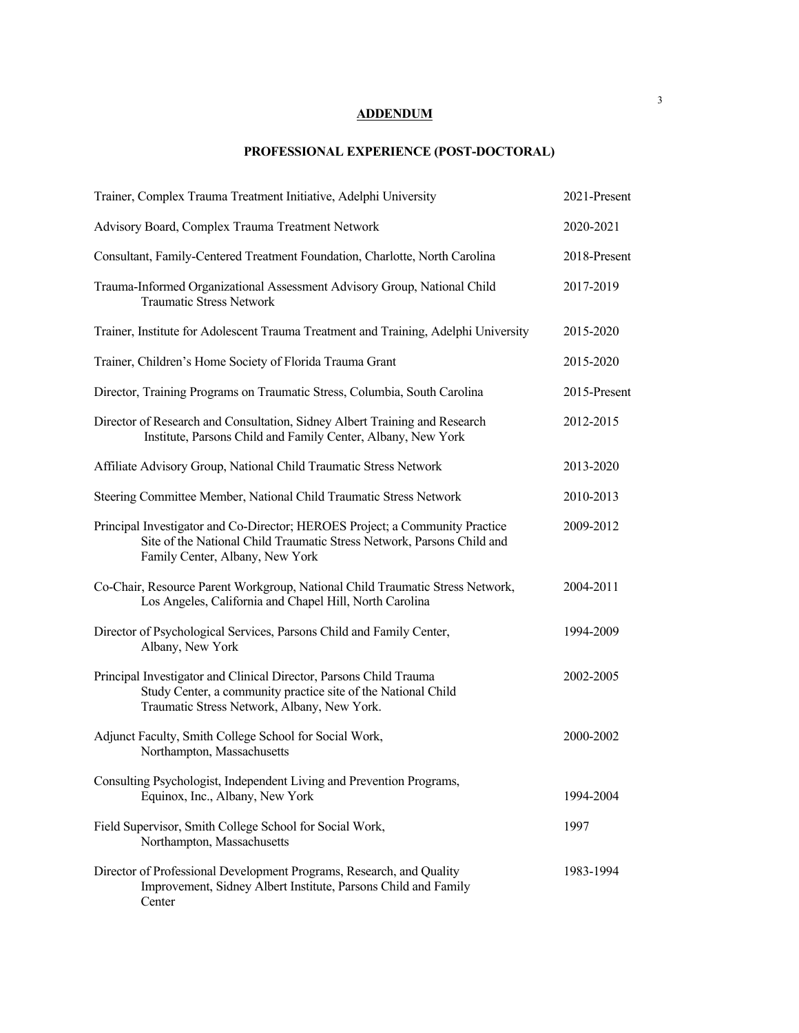# **ADDENDUM**

# **PROFESSIONAL EXPERIENCE (POST-DOCTORAL)**

| Trainer, Complex Trauma Treatment Initiative, Adelphi University                                                                                                                          | 2021-Present |
|-------------------------------------------------------------------------------------------------------------------------------------------------------------------------------------------|--------------|
| Advisory Board, Complex Trauma Treatment Network                                                                                                                                          | 2020-2021    |
| Consultant, Family-Centered Treatment Foundation, Charlotte, North Carolina                                                                                                               | 2018-Present |
| Trauma-Informed Organizational Assessment Advisory Group, National Child<br><b>Traumatic Stress Network</b>                                                                               | 2017-2019    |
| Trainer, Institute for Adolescent Trauma Treatment and Training, Adelphi University                                                                                                       | 2015-2020    |
| Trainer, Children's Home Society of Florida Trauma Grant                                                                                                                                  | 2015-2020    |
| Director, Training Programs on Traumatic Stress, Columbia, South Carolina                                                                                                                 | 2015-Present |
| Director of Research and Consultation, Sidney Albert Training and Research<br>Institute, Parsons Child and Family Center, Albany, New York                                                | 2012-2015    |
| Affiliate Advisory Group, National Child Traumatic Stress Network                                                                                                                         | 2013-2020    |
| Steering Committee Member, National Child Traumatic Stress Network                                                                                                                        | 2010-2013    |
| Principal Investigator and Co-Director; HEROES Project; a Community Practice<br>Site of the National Child Traumatic Stress Network, Parsons Child and<br>Family Center, Albany, New York | 2009-2012    |
| Co-Chair, Resource Parent Workgroup, National Child Traumatic Stress Network,<br>Los Angeles, California and Chapel Hill, North Carolina                                                  | 2004-2011    |
| Director of Psychological Services, Parsons Child and Family Center,<br>Albany, New York                                                                                                  | 1994-2009    |
| Principal Investigator and Clinical Director, Parsons Child Trauma<br>Study Center, a community practice site of the National Child<br>Traumatic Stress Network, Albany, New York.        | 2002-2005    |
| Adjunct Faculty, Smith College School for Social Work,<br>Northampton, Massachusetts                                                                                                      | 2000-2002    |
| Consulting Psychologist, Independent Living and Prevention Programs,<br>Equinox, Inc., Albany, New York                                                                                   | 1994-2004    |
| Field Supervisor, Smith College School for Social Work,<br>Northampton, Massachusetts                                                                                                     | 1997         |
| Director of Professional Development Programs, Research, and Quality<br>Improvement, Sidney Albert Institute, Parsons Child and Family<br>Center                                          | 1983-1994    |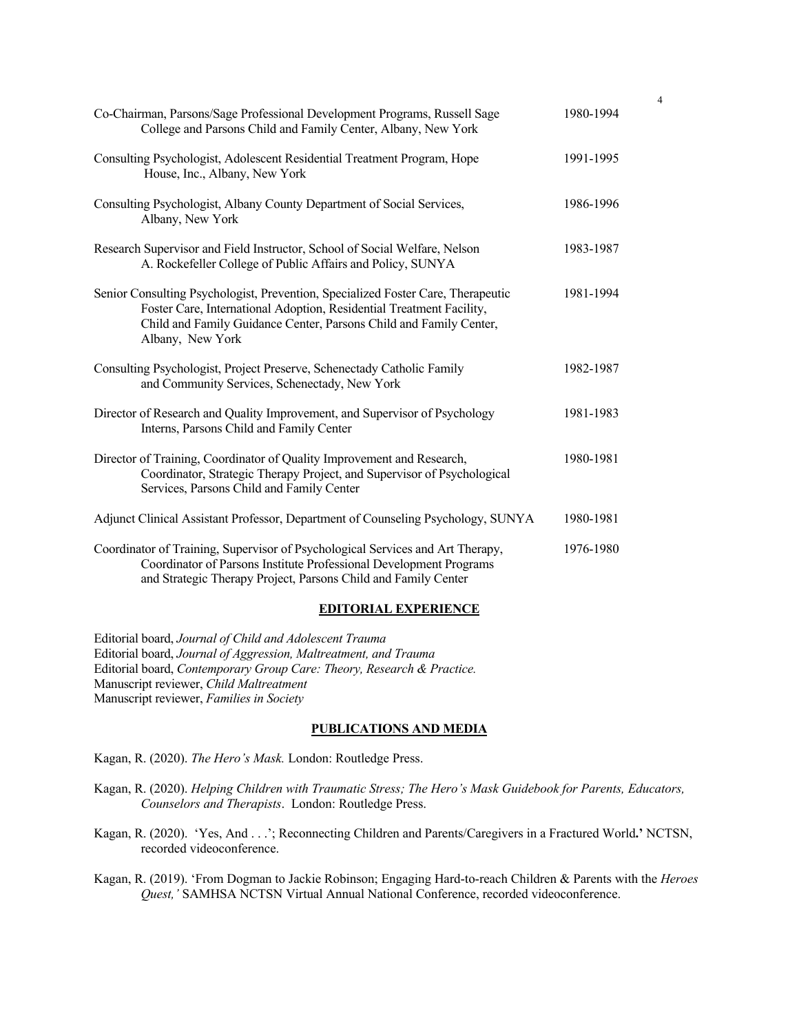| Co-Chairman, Parsons/Sage Professional Development Programs, Russell Sage<br>College and Parsons Child and Family Center, Albany, New York                                                                                                         | 1980-1994 |
|----------------------------------------------------------------------------------------------------------------------------------------------------------------------------------------------------------------------------------------------------|-----------|
| Consulting Psychologist, Adolescent Residential Treatment Program, Hope<br>House, Inc., Albany, New York                                                                                                                                           | 1991-1995 |
| Consulting Psychologist, Albany County Department of Social Services,<br>Albany, New York                                                                                                                                                          | 1986-1996 |
| Research Supervisor and Field Instructor, School of Social Welfare, Nelson<br>A. Rockefeller College of Public Affairs and Policy, SUNYA                                                                                                           | 1983-1987 |
| Senior Consulting Psychologist, Prevention, Specialized Foster Care, Therapeutic<br>Foster Care, International Adoption, Residential Treatment Facility,<br>Child and Family Guidance Center, Parsons Child and Family Center,<br>Albany, New York | 1981-1994 |
| Consulting Psychologist, Project Preserve, Schenectady Catholic Family<br>and Community Services, Schenectady, New York                                                                                                                            | 1982-1987 |
| Director of Research and Quality Improvement, and Supervisor of Psychology<br>Interns, Parsons Child and Family Center                                                                                                                             | 1981-1983 |
| Director of Training, Coordinator of Quality Improvement and Research,<br>Coordinator, Strategic Therapy Project, and Supervisor of Psychological<br>Services, Parsons Child and Family Center                                                     | 1980-1981 |
| Adjunct Clinical Assistant Professor, Department of Counseling Psychology, SUNYA                                                                                                                                                                   | 1980-1981 |
| Coordinator of Training, Supervisor of Psychological Services and Art Therapy,<br>Coordinator of Parsons Institute Professional Development Programs<br>and Strategic Therapy Project, Parsons Child and Family Center                             | 1976-1980 |

4

## **EDITORIAL EXPERIENCE**

Editorial board, *Journal of Child and Adolescent Trauma* Editorial board, *Journal of Aggression, Maltreatment, and Trauma* Editorial board, *Contemporary Group Care: Theory, Research & Practice.* Manuscript reviewer, *Child Maltreatment* Manuscript reviewer, *Families in Society*

#### **PUBLICATIONS AND MEDIA**

Kagan, R. (2020). *The Hero's Mask.* London: Routledge Press.

- Kagan, R. (2020). *Helping Children with Traumatic Stress; The Hero's Mask Guidebook for Parents, Educators, Counselors and Therapists*. London: Routledge Press.
- Kagan, R. (2020). 'Yes, And . . .'; Reconnecting Children and Parents/Caregivers in a Fractured World**.'** NCTSN, recorded videoconference.
- Kagan, R. (2019). 'From Dogman to Jackie Robinson; Engaging Hard-to-reach Children & Parents with the *Heroes Quest,'* SAMHSA NCTSN Virtual Annual National Conference, recorded videoconference.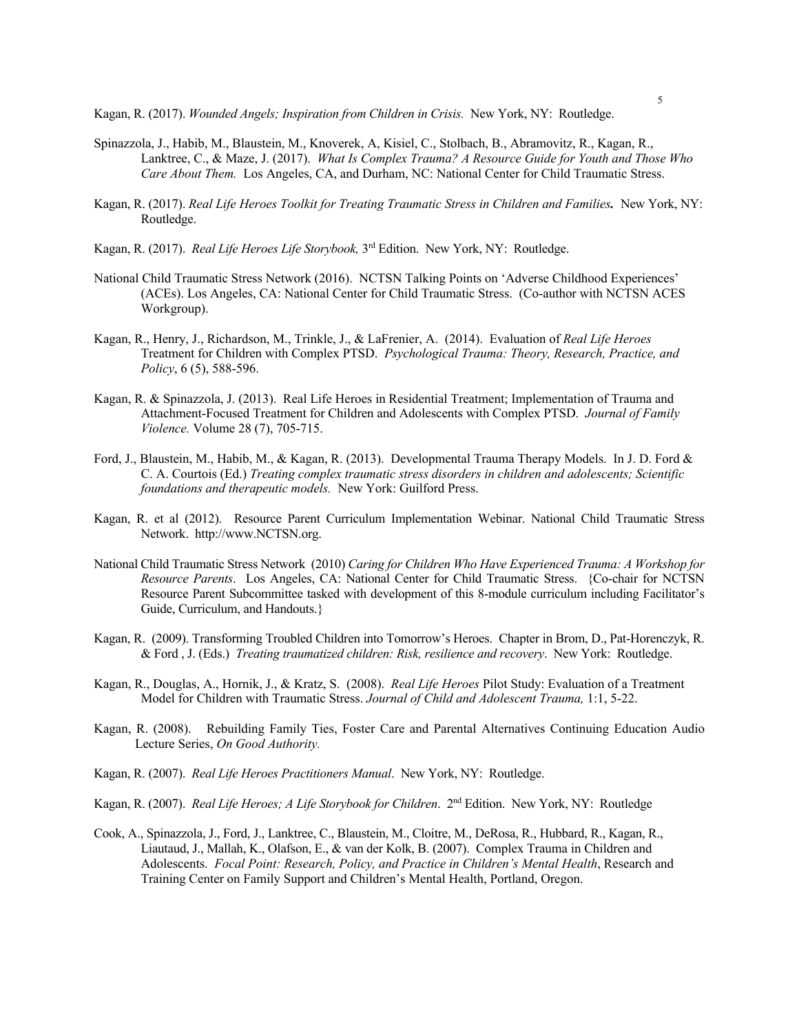Kagan, R. (2017). *Wounded Angels; Inspiration from Children in Crisis*. New York, NY: Routledge.

- Spinazzola, J., Habib, M., Blaustein, M., Knoverek, A, Kisiel, C., Stolbach, B., Abramovitz, R., Kagan, R., Lanktree, C., & Maze, J. (2017). *What Is Complex Trauma? A Resource Guide for Youth and Those Who Care About Them.* Los Angeles, CA, and Durham, NC: National Center for Child Traumatic Stress.
- Kagan, R. (2017). *Real Life Heroes Toolkit for Treating Traumatic Stress in Children and Families.* New York, NY: Routledge.
- Kagan, R. (2017). *Real Life Heroes Life Storybook,* 3rd Edition. New York, NY: Routledge.
- National Child Traumatic Stress Network (2016). NCTSN Talking Points on 'Adverse Childhood Experiences' (ACEs). Los Angeles, CA: National Center for Child Traumatic Stress. (Co-author with NCTSN ACES Workgroup).
- Kagan, R., Henry, J., Richardson, M., Trinkle, J., & LaFrenier, A. (2014). Evaluation of *Real Life Heroes*  Treatment for Children with Complex PTSD. *Psychological Trauma: Theory, Research, Practice, and Policy*, 6 (5), 588-596.
- Kagan, R. & Spinazzola, J. (2013). Real Life Heroes in Residential Treatment; Implementation of Trauma and Attachment-Focused Treatment for Children and Adolescents with Complex PTSD. *Journal of Family Violence.* Volume 28 (7), 705-715.
- Ford, J., Blaustein, M., Habib, M., & Kagan, R. (2013). Developmental Trauma Therapy Models. In J. D. Ford & C. A. Courtois (Ed.) *Treating complex traumatic stress disorders in children and adolescents; Scientific foundations and therapeutic models.* New York: Guilford Press.
- Kagan, R. et al (2012). Resource Parent Curriculum Implementation Webinar. National Child Traumatic Stress Network. http://www.NCTSN.org.
- National Child Traumatic Stress Network (2010) *Caring for Children Who Have Experienced Trauma: A Workshop for Resource Parents*. Los Angeles, CA: National Center for Child Traumatic Stress. {Co-chair for NCTSN Resource Parent Subcommittee tasked with development of this 8-module curriculum including Facilitator's Guide, Curriculum, and Handouts.}
- Kagan, R. (2009). Transforming Troubled Children into Tomorrow's Heroes. Chapter in Brom, D., Pat-Horenczyk, R. & Ford , J. (Eds.) *Treating traumatized children: Risk, resilience and recovery*. New York: Routledge.
- Kagan, R., Douglas, A., Hornik, J., & Kratz, S. (2008). *Real Life Heroes* Pilot Study: Evaluation of a Treatment Model for Children with Traumatic Stress. *Journal of Child and Adolescent Trauma,* 1:1, 5-22.
- Kagan, R. (2008). Rebuilding Family Ties, Foster Care and Parental Alternatives Continuing Education Audio Lecture Series, *On Good Authority.*
- Kagan, R. (2007). *Real Life Heroes Practitioners Manual*. New York, NY: Routledge.
- Kagan, R. (2007). *Real Life Heroes; A Life Storybook for Children*. 2nd Edition. New York, NY: Routledge
- Cook, A., Spinazzola, J., Ford, J., Lanktree, C., Blaustein, M., Cloitre, M., DeRosa, R., Hubbard, R., Kagan, R., Liautaud, J., Mallah, K., Olafson, E., & van der Kolk, B. (2007). Complex Trauma in Children and Adolescents. *Focal Point: Research, Policy, and Practice in Children's Mental Health*, Research and Training Center on Family Support and Children's Mental Health, Portland, Oregon.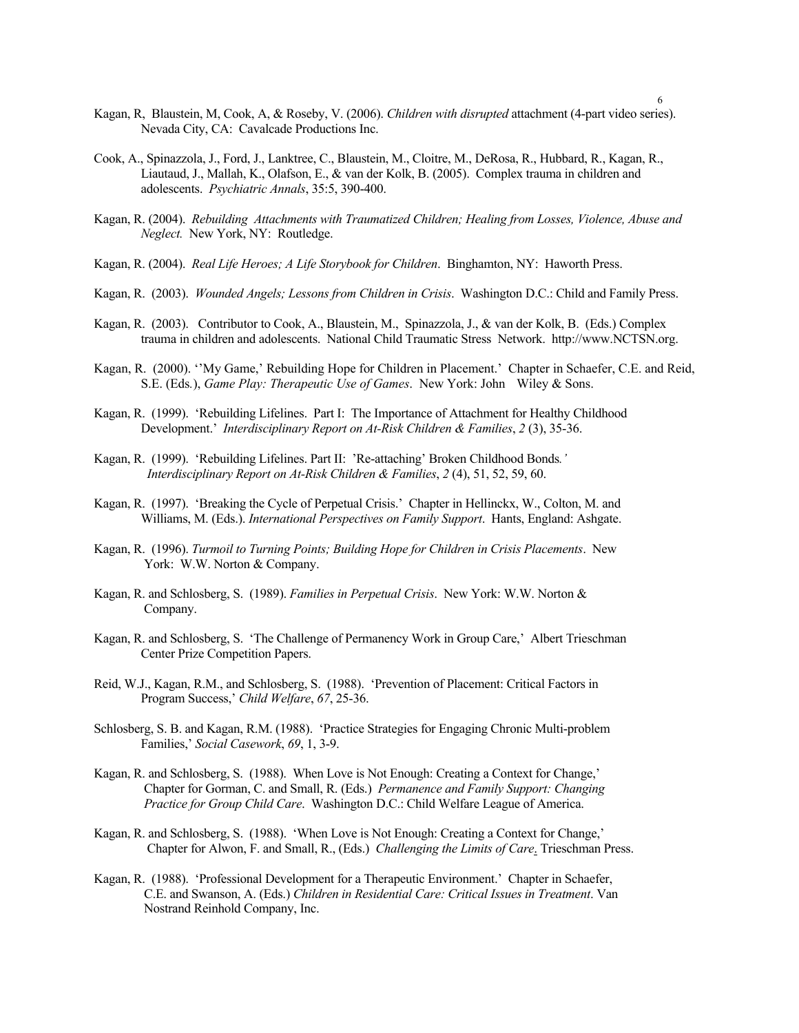- Kagan, R, Blaustein, M, Cook, A, & Roseby, V. (2006). *Children with disrupted* attachment (4-part video series). Nevada City, CA: Cavalcade Productions Inc.
- Cook, A., Spinazzola, J., Ford, J., Lanktree, C., Blaustein, M., Cloitre, M., DeRosa, R., Hubbard, R., Kagan, R., Liautaud, J., Mallah, K., Olafson, E., & van der Kolk, B. (2005). Complex trauma in children and adolescents. *Psychiatric Annals*, 35:5, 390-400.
- Kagan, R. (2004). *Rebuilding Attachments with Traumatized Children; Healing from Losses, Violence, Abuse and Neglect.* New York, NY: Routledge.
- Kagan, R. (2004). *Real Life Heroes; A Life Storybook for Children*. Binghamton, NY: Haworth Press.
- Kagan, R. (2003). *Wounded Angels; Lessons from Children in Crisis*. Washington D.C.: Child and Family Press.
- Kagan, R. (2003). Contributor to Cook, A., Blaustein, M., Spinazzola, J., & van der Kolk, B. (Eds.) Complex trauma in children and adolescents. National Child Traumatic Stress Network. http://www.NCTSN.org.
- Kagan, R. (2000). ''My Game,' Rebuilding Hope for Children in Placement.' Chapter in Schaefer, C.E. and Reid, S.E. (Eds*.*), *Game Play: Therapeutic Use of Games*. New York: John Wiley & Sons.
- Kagan, R. (1999). 'Rebuilding Lifelines. Part I: The Importance of Attachment for Healthy Childhood Development.' *Interdisciplinary Report on At-Risk Children & Families*, *2* (3), 35-36.
- Kagan, R. (1999). 'Rebuilding Lifelines. Part II: 'Re-attaching' Broken Childhood Bonds*.' Interdisciplinary Report on At-Risk Children & Families*, *2* (4), 51, 52, 59, 60.
- Kagan, R. (1997). 'Breaking the Cycle of Perpetual Crisis.' Chapter in Hellinckx, W., Colton, M. and Williams, M. (Eds.). *International Perspectives on Family Support*. Hants, England: Ashgate.
- Kagan, R. (1996). *Turmoil to Turning Points; Building Hope for Children in Crisis Placements*. New York: W.W. Norton & Company.
- Kagan, R. and Schlosberg, S. (1989). *Families in Perpetual Crisis*. New York: W.W. Norton & Company.
- Kagan, R. and Schlosberg, S. 'The Challenge of Permanency Work in Group Care,' Albert Trieschman Center Prize Competition Papers.
- Reid, W.J., Kagan, R.M., and Schlosberg, S. (1988). 'Prevention of Placement: Critical Factors in Program Success,' *Child Welfare*, *67*, 25-36.
- Schlosberg, S. B. and Kagan, R.M. (1988). 'Practice Strategies for Engaging Chronic Multi-problem Families,' *Social Casework*, *69*, 1, 3-9.
- Kagan, R. and Schlosberg, S. (1988). When Love is Not Enough: Creating a Context for Change,' Chapter for Gorman, C. and Small, R. (Eds.) *Permanence and Family Support: Changing Practice for Group Child Care*. Washington D.C.: Child Welfare League of America.
- Kagan, R. and Schlosberg, S. (1988). 'When Love is Not Enough: Creating a Context for Change,' Chapter for Alwon, F. and Small, R., (Eds.) *Challenging the Limits of Care*. Trieschman Press.
- Kagan, R. (1988). 'Professional Development for a Therapeutic Environment.' Chapter in Schaefer, C.E. and Swanson, A. (Eds.) *Children in Residential Care: Critical Issues in Treatment*. Van Nostrand Reinhold Company, Inc.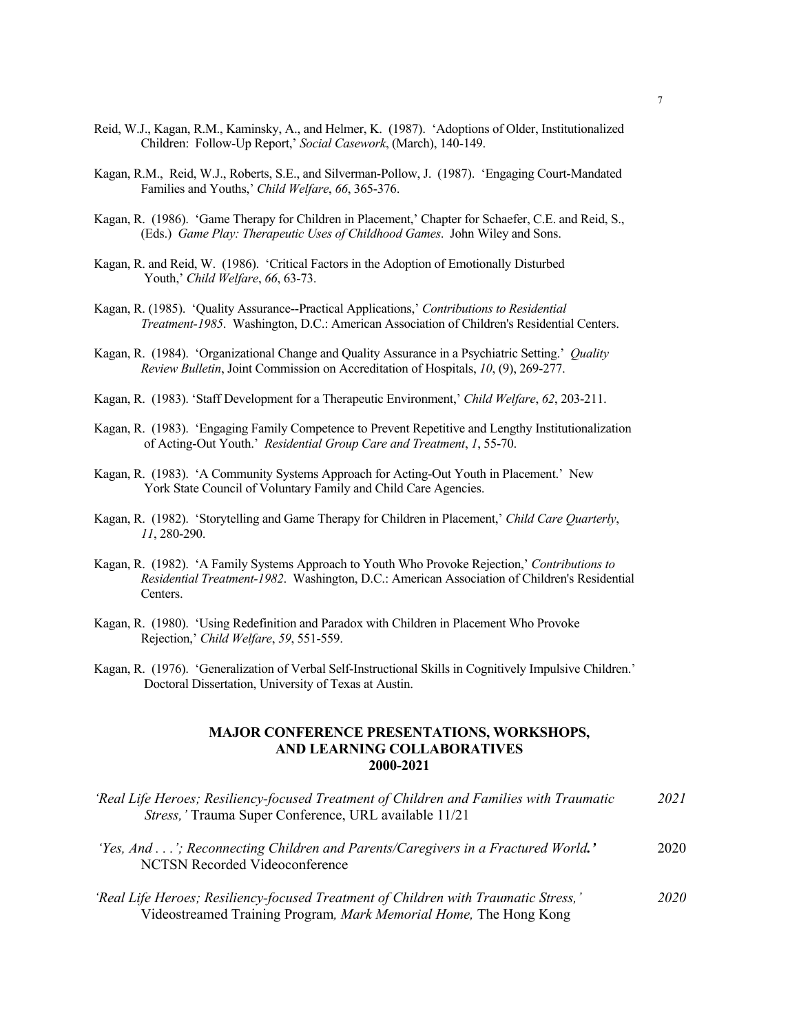- Reid, W.J., Kagan, R.M., Kaminsky, A., and Helmer, K. (1987). 'Adoptions of Older, Institutionalized Children: Follow-Up Report,' *Social Casework*, (March), 140-149.
- Kagan, R.M., Reid, W.J., Roberts, S.E., and Silverman-Pollow, J. (1987). 'Engaging Court-Mandated Families and Youths,' *Child Welfare*, *66*, 365-376.
- Kagan, R. (1986). 'Game Therapy for Children in Placement,' Chapter for Schaefer, C.E. and Reid, S., (Eds.) *Game Play: Therapeutic Uses of Childhood Games*. John Wiley and Sons.
- Kagan, R. and Reid, W. (1986). 'Critical Factors in the Adoption of Emotionally Disturbed Youth,' *Child Welfare*, *66*, 63-73.
- Kagan, R. (1985). 'Quality Assurance--Practical Applications,' *Contributions to Residential Treatment-1985*. Washington, D.C.: American Association of Children's Residential Centers.
- Kagan, R. (1984). 'Organizational Change and Quality Assurance in a Psychiatric Setting.' *Quality Review Bulletin*, Joint Commission on Accreditation of Hospitals, *10*, (9), 269-277.
- Kagan, R. (1983). 'Staff Development for a Therapeutic Environment,' *Child Welfare*, *62*, 203-211.
- Kagan, R. (1983). 'Engaging Family Competence to Prevent Repetitive and Lengthy Institutionalization of Acting-Out Youth.' *Residential Group Care and Treatment*, *1*, 55-70.
- Kagan, R. (1983). 'A Community Systems Approach for Acting-Out Youth in Placement.' New York State Council of Voluntary Family and Child Care Agencies.
- Kagan, R. (1982). 'Storytelling and Game Therapy for Children in Placement,' *Child Care Quarterly*, *11*, 280-290.
- Kagan, R. (1982). 'A Family Systems Approach to Youth Who Provoke Rejection,' *Contributions to Residential Treatment-1982*. Washington, D.C.: American Association of Children's Residential Centers.
- Kagan, R. (1980). 'Using Redefinition and Paradox with Children in Placement Who Provoke Rejection,' *Child Welfare*, *59*, 551-559.
- Kagan, R. (1976). 'Generalization of Verbal Self-Instructional Skills in Cognitively Impulsive Children.' Doctoral Dissertation, University of Texas at Austin.

## **MAJOR CONFERENCE PRESENTATIONS, WORKSHOPS, AND LEARNING COLLABORATIVES 2000-2021**

| 'Real Life Heroes; Resiliency-focused Treatment of Children and Families with Traumatic<br>Stress,' Trauma Super Conference, URL available 11/21         |      |
|----------------------------------------------------------------------------------------------------------------------------------------------------------|------|
| 'Yes, And'; Reconnecting Children and Parents/Caregivers in a Fractured World.'<br><b>NCTSN Recorded Videoconference</b>                                 | 2020 |
| 'Real Life Heroes; Resiliency-focused Treatment of Children with Traumatic Stress,'<br>Videostreamed Training Program, Mark Memorial Home, The Hong Kong | 2020 |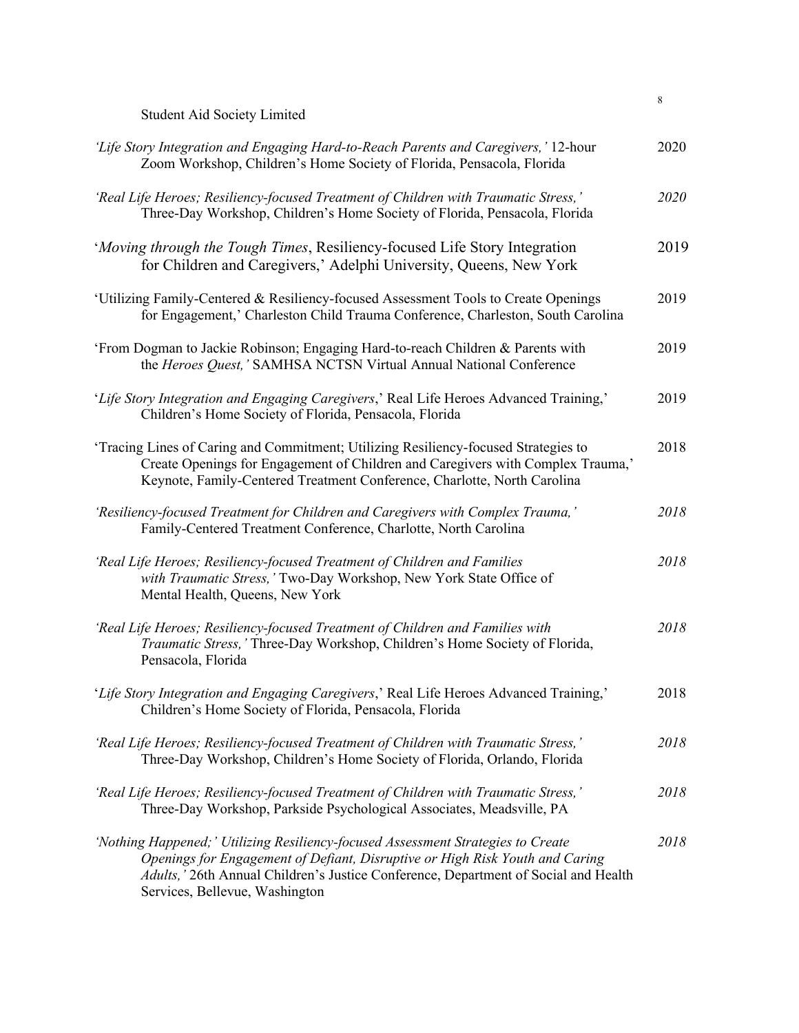|                                                                                                                                                                                                                                                                                           | 8    |
|-------------------------------------------------------------------------------------------------------------------------------------------------------------------------------------------------------------------------------------------------------------------------------------------|------|
| <b>Student Aid Society Limited</b>                                                                                                                                                                                                                                                        |      |
| 'Life Story Integration and Engaging Hard-to-Reach Parents and Caregivers,' 12-hour<br>Zoom Workshop, Children's Home Society of Florida, Pensacola, Florida                                                                                                                              | 2020 |
| 'Real Life Heroes; Resiliency-focused Treatment of Children with Traumatic Stress,'<br>Three-Day Workshop, Children's Home Society of Florida, Pensacola, Florida                                                                                                                         | 2020 |
| 'Moving through the Tough Times, Resiliency-focused Life Story Integration<br>for Children and Caregivers,' Adelphi University, Queens, New York                                                                                                                                          | 2019 |
| 'Utilizing Family-Centered & Resiliency-focused Assessment Tools to Create Openings<br>for Engagement,' Charleston Child Trauma Conference, Charleston, South Carolina                                                                                                                    | 2019 |
| 'From Dogman to Jackie Robinson; Engaging Hard-to-reach Children & Parents with<br>the Heroes Quest,' SAMHSA NCTSN Virtual Annual National Conference                                                                                                                                     | 2019 |
| 'Life Story Integration and Engaging Caregivers,' Real Life Heroes Advanced Training,'<br>Children's Home Society of Florida, Pensacola, Florida                                                                                                                                          | 2019 |
| Tracing Lines of Caring and Commitment; Utilizing Resiliency-focused Strategies to<br>Create Openings for Engagement of Children and Caregivers with Complex Trauma,'<br>Keynote, Family-Centered Treatment Conference, Charlotte, North Carolina                                         | 2018 |
| 'Resiliency-focused Treatment for Children and Caregivers with Complex Trauma,'<br>Family-Centered Treatment Conference, Charlotte, North Carolina                                                                                                                                        | 2018 |
| 'Real Life Heroes; Resiliency-focused Treatment of Children and Families<br>with Traumatic Stress,' Two-Day Workshop, New York State Office of<br>Mental Health, Queens, New York                                                                                                         | 2018 |
| 'Real Life Heroes; Resiliency-focused Treatment of Children and Families with<br>Traumatic Stress,' Three-Day Workshop, Children's Home Society of Florida,<br>Pensacola, Florida                                                                                                         | 2018 |
| 'Life Story Integration and Engaging Caregivers,' Real Life Heroes Advanced Training,'<br>Children's Home Society of Florida, Pensacola, Florida                                                                                                                                          | 2018 |
| 'Real Life Heroes; Resiliency-focused Treatment of Children with Traumatic Stress,'<br>Three-Day Workshop, Children's Home Society of Florida, Orlando, Florida                                                                                                                           | 2018 |
| 'Real Life Heroes; Resiliency-focused Treatment of Children with Traumatic Stress,'<br>Three-Day Workshop, Parkside Psychological Associates, Meadsville, PA                                                                                                                              | 2018 |
| 'Nothing Happened;' Utilizing Resiliency-focused Assessment Strategies to Create<br>Openings for Engagement of Defiant, Disruptive or High Risk Youth and Caring<br>Adults,' 26th Annual Children's Justice Conference, Department of Social and Health<br>Services, Bellevue, Washington | 2018 |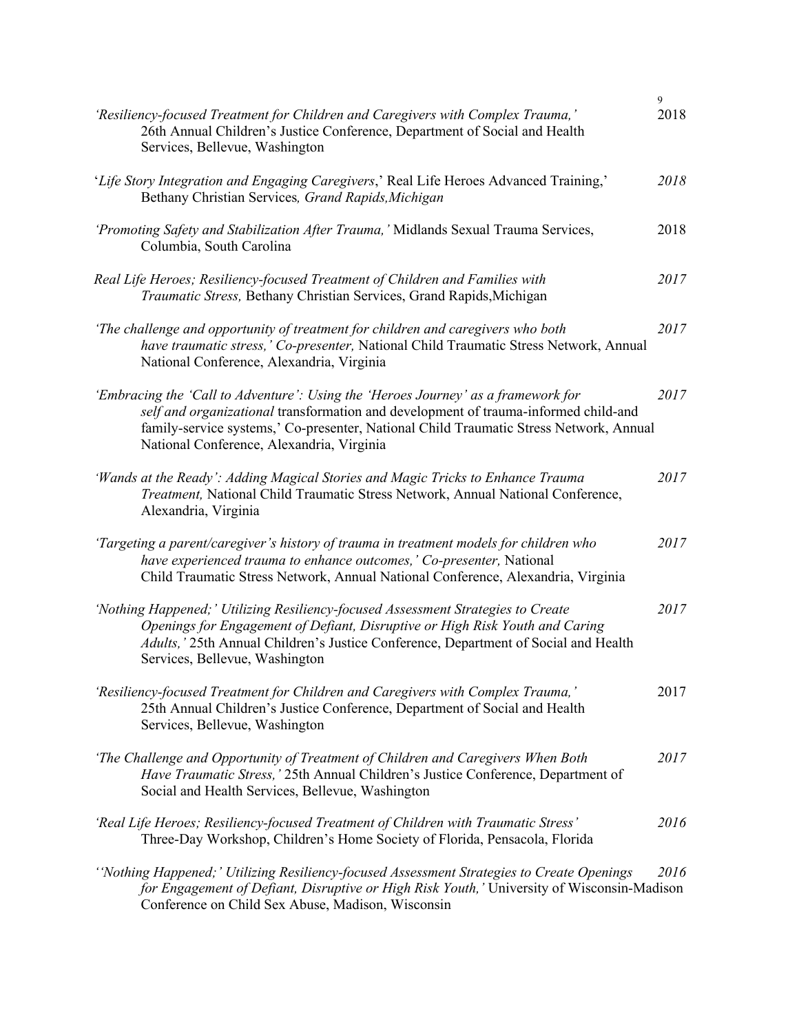| 'Resiliency-focused Treatment for Children and Caregivers with Complex Trauma,'<br>26th Annual Children's Justice Conference, Department of Social and Health<br>Services, Bellevue, Washington                                                                                                                 | 9<br>2018 |
|-----------------------------------------------------------------------------------------------------------------------------------------------------------------------------------------------------------------------------------------------------------------------------------------------------------------|-----------|
| 'Life Story Integration and Engaging Caregivers,' Real Life Heroes Advanced Training,'<br>Bethany Christian Services, Grand Rapids, Michigan                                                                                                                                                                    | 2018      |
| 'Promoting Safety and Stabilization After Trauma,' Midlands Sexual Trauma Services,<br>Columbia, South Carolina                                                                                                                                                                                                 | 2018      |
| Real Life Heroes; Resiliency-focused Treatment of Children and Families with<br>Traumatic Stress, Bethany Christian Services, Grand Rapids, Michigan                                                                                                                                                            | 2017      |
| 'The challenge and opportunity of treatment for children and caregivers who both<br>have traumatic stress,' Co-presenter, National Child Traumatic Stress Network, Annual<br>National Conference, Alexandria, Virginia                                                                                          | 2017      |
| 'Embracing the 'Call to Adventure': Using the 'Heroes Journey' as a framework for<br>self and organizational transformation and development of trauma-informed child-and<br>family-service systems,' Co-presenter, National Child Traumatic Stress Network, Annual<br>National Conference, Alexandria, Virginia | 2017      |
| 'Wands at the Ready': Adding Magical Stories and Magic Tricks to Enhance Trauma<br>Treatment, National Child Traumatic Stress Network, Annual National Conference,<br>Alexandria, Virginia                                                                                                                      | 2017      |
| 'Targeting a parent/caregiver's history of trauma in treatment models for children who<br>have experienced trauma to enhance outcomes,' Co-presenter, National<br>Child Traumatic Stress Network, Annual National Conference, Alexandria, Virginia                                                              | 2017      |
| 'Nothing Happened;' Utilizing Resiliency-focused Assessment Strategies to Create<br>Openings for Engagement of Defiant, Disruptive or High Risk Youth and Caring<br>Adults, ' 25th Annual Children's Justice Conference, Department of Social and Health<br>Services, Bellevue, Washington                      | 2017      |
| 'Resiliency-focused Treatment for Children and Caregivers with Complex Trauma,'<br>25th Annual Children's Justice Conference, Department of Social and Health<br>Services, Bellevue, Washington                                                                                                                 | 2017      |
| 'The Challenge and Opportunity of Treatment of Children and Caregivers When Both<br>Have Traumatic Stress,' 25th Annual Children's Justice Conference, Department of<br>Social and Health Services, Bellevue, Washington                                                                                        | 2017      |
| 'Real Life Heroes; Resiliency-focused Treatment of Children with Traumatic Stress'<br>Three-Day Workshop, Children's Home Society of Florida, Pensacola, Florida                                                                                                                                                | 2016      |
| "Nothing Happened;" Utilizing Resiliency-focused Assessment Strategies to Create Openings<br>for Engagement of Defiant, Disruptive or High Risk Youth,' University of Wisconsin-Madison<br>Conference on Child Sex Abuse, Madison, Wisconsin                                                                    | 2016      |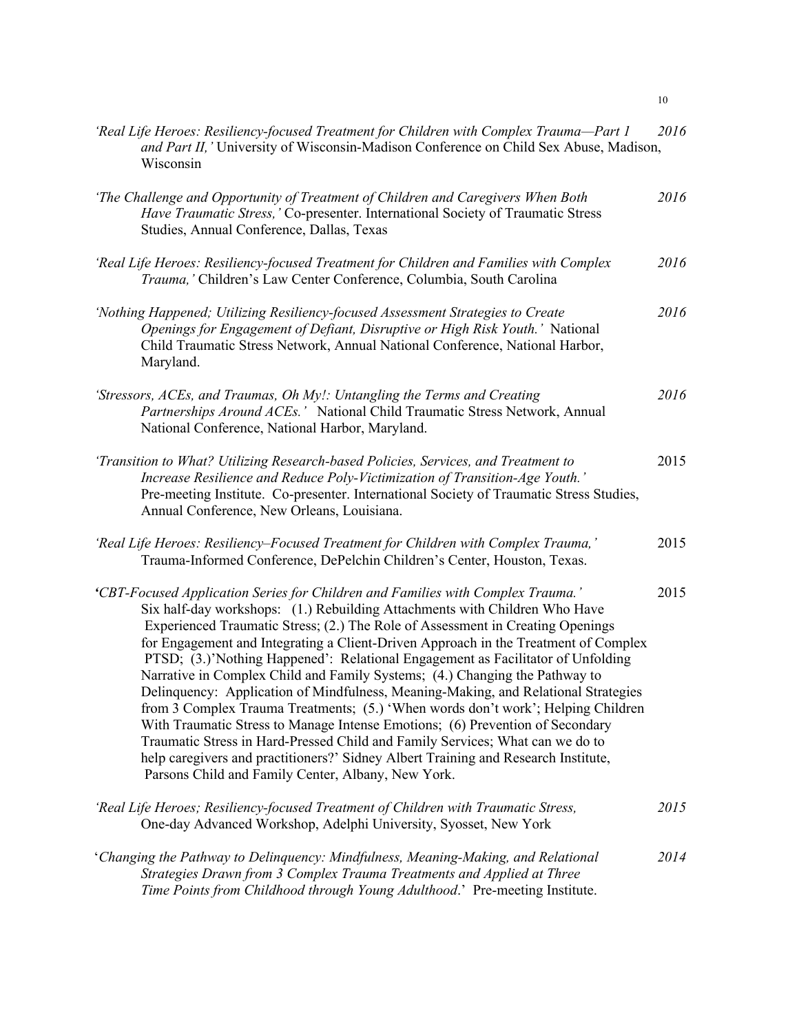| 'Real Life Heroes: Resiliency-focused Treatment for Children with Complex Trauma-Part 1<br>and Part II, 'University of Wisconsin-Madison Conference on Child Sex Abuse, Madison,<br>Wisconsin                                                                                                                                                                                                                                                                                                                                                                                                                                                                                                                                                                                                                                                                                                                                                                                                    | 2016 |
|--------------------------------------------------------------------------------------------------------------------------------------------------------------------------------------------------------------------------------------------------------------------------------------------------------------------------------------------------------------------------------------------------------------------------------------------------------------------------------------------------------------------------------------------------------------------------------------------------------------------------------------------------------------------------------------------------------------------------------------------------------------------------------------------------------------------------------------------------------------------------------------------------------------------------------------------------------------------------------------------------|------|
| 'The Challenge and Opportunity of Treatment of Children and Caregivers When Both<br>Have Traumatic Stress,' Co-presenter. International Society of Traumatic Stress<br>Studies, Annual Conference, Dallas, Texas                                                                                                                                                                                                                                                                                                                                                                                                                                                                                                                                                                                                                                                                                                                                                                                 | 2016 |
| 'Real Life Heroes: Resiliency-focused Treatment for Children and Families with Complex<br>Trauma, ' Children's Law Center Conference, Columbia, South Carolina                                                                                                                                                                                                                                                                                                                                                                                                                                                                                                                                                                                                                                                                                                                                                                                                                                   | 2016 |
| 'Nothing Happened; Utilizing Resiliency-focused Assessment Strategies to Create<br>Openings for Engagement of Defiant, Disruptive or High Risk Youth.' National<br>Child Traumatic Stress Network, Annual National Conference, National Harbor,<br>Maryland.                                                                                                                                                                                                                                                                                                                                                                                                                                                                                                                                                                                                                                                                                                                                     | 2016 |
| 'Stressors, ACEs, and Traumas, Oh My!: Untangling the Terms and Creating<br>Partnerships Around ACEs.' National Child Traumatic Stress Network, Annual<br>National Conference, National Harbor, Maryland.                                                                                                                                                                                                                                                                                                                                                                                                                                                                                                                                                                                                                                                                                                                                                                                        | 2016 |
| 'Transition to What? Utilizing Research-based Policies, Services, and Treatment to<br>Increase Resilience and Reduce Poly-Victimization of Transition-Age Youth.'<br>Pre-meeting Institute. Co-presenter. International Society of Traumatic Stress Studies,<br>Annual Conference, New Orleans, Louisiana.                                                                                                                                                                                                                                                                                                                                                                                                                                                                                                                                                                                                                                                                                       | 2015 |
| 'Real Life Heroes: Resiliency–Focused Treatment for Children with Complex Trauma,'<br>Trauma-Informed Conference, DePelchin Children's Center, Houston, Texas.                                                                                                                                                                                                                                                                                                                                                                                                                                                                                                                                                                                                                                                                                                                                                                                                                                   | 2015 |
| 'CBT-Focused Application Series for Children and Families with Complex Trauma.'<br>Six half-day workshops: (1.) Rebuilding Attachments with Children Who Have<br>Experienced Traumatic Stress; (2.) The Role of Assessment in Creating Openings<br>for Engagement and Integrating a Client-Driven Approach in the Treatment of Complex<br>PTSD; (3.)'Nothing Happened': Relational Engagement as Facilitator of Unfolding<br>Narrative in Complex Child and Family Systems; (4.) Changing the Pathway to<br>Delinquency: Application of Mindfulness, Meaning-Making, and Relational Strategies<br>from 3 Complex Trauma Treatments; (5.) 'When words don't work'; Helping Children<br>With Traumatic Stress to Manage Intense Emotions; (6) Prevention of Secondary<br>Traumatic Stress in Hard-Pressed Child and Family Services; What can we do to<br>help caregivers and practitioners?' Sidney Albert Training and Research Institute,<br>Parsons Child and Family Center, Albany, New York. | 2015 |
| 'Real Life Heroes; Resiliency-focused Treatment of Children with Traumatic Stress,<br>One-day Advanced Workshop, Adelphi University, Syosset, New York                                                                                                                                                                                                                                                                                                                                                                                                                                                                                                                                                                                                                                                                                                                                                                                                                                           | 2015 |
| 'Changing the Pathway to Delinquency: Mindfulness, Meaning-Making, and Relational<br>Strategies Drawn from 3 Complex Trauma Treatments and Applied at Three<br>Time Points from Childhood through Young Adulthood.' Pre-meeting Institute.                                                                                                                                                                                                                                                                                                                                                                                                                                                                                                                                                                                                                                                                                                                                                       | 2014 |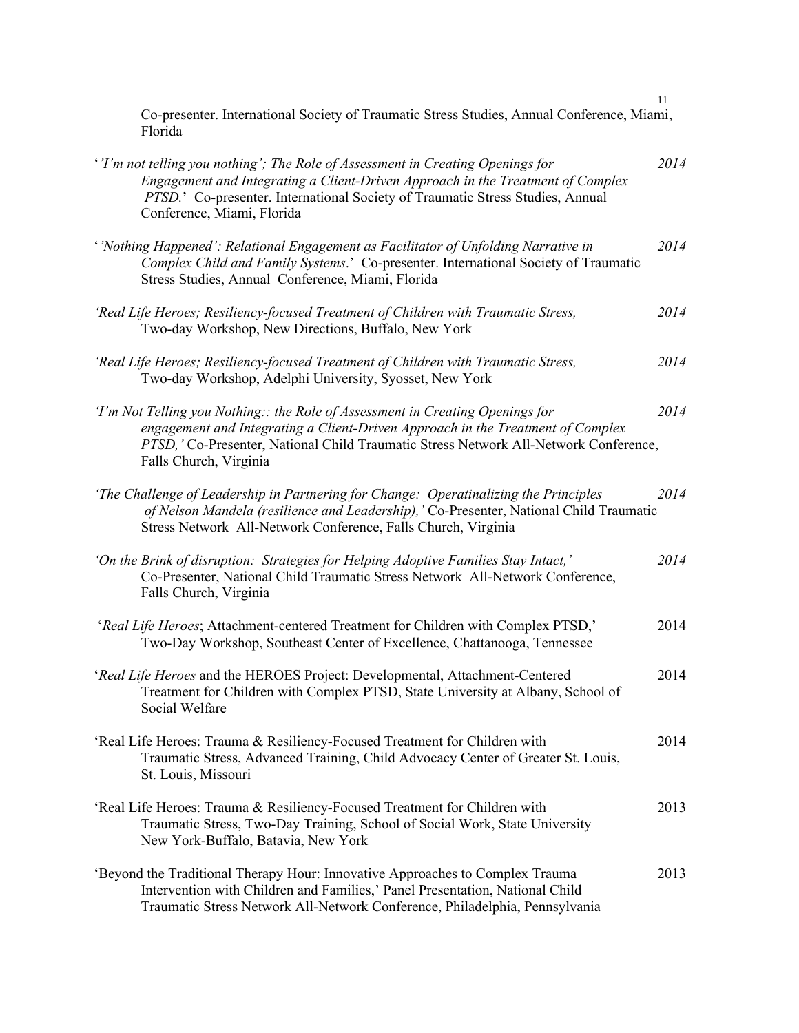Co-presenter. International Society of Traumatic Stress Studies, Annual Conference, Miami, Florida

| ''I'm not telling you nothing'; The Role of Assessment in Creating Openings for<br>Engagement and Integrating a Client-Driven Approach in the Treatment of Complex<br>PTSD.' Co-presenter. International Society of Traumatic Stress Studies, Annual<br>Conference, Miami, Florida  | 2014 |
|-------------------------------------------------------------------------------------------------------------------------------------------------------------------------------------------------------------------------------------------------------------------------------------|------|
| ' Nothing Happened': Relational Engagement as Facilitator of Unfolding Narrative in<br>Complex Child and Family Systems.' Co-presenter. International Society of Traumatic<br>Stress Studies, Annual Conference, Miami, Florida                                                     | 2014 |
| 'Real Life Heroes; Resiliency-focused Treatment of Children with Traumatic Stress,<br>Two-day Workshop, New Directions, Buffalo, New York                                                                                                                                           | 2014 |
| 'Real Life Heroes; Resiliency-focused Treatment of Children with Traumatic Stress,<br>Two-day Workshop, Adelphi University, Syosset, New York                                                                                                                                       | 2014 |
| 'I'm Not Telling you Nothing:: the Role of Assessment in Creating Openings for<br>engagement and Integrating a Client-Driven Approach in the Treatment of Complex<br>PTSD, 'Co-Presenter, National Child Traumatic Stress Network All-Network Conference,<br>Falls Church, Virginia | 2014 |
| 'The Challenge of Leadership in Partnering for Change: Operatinalizing the Principles<br>of Nelson Mandela (resilience and Leadership), 'Co-Presenter, National Child Traumatic<br>Stress Network All-Network Conference, Falls Church, Virginia                                    | 2014 |
| 'On the Brink of disruption: Strategies for Helping Adoptive Families Stay Intact,'<br>Co-Presenter, National Child Traumatic Stress Network All-Network Conference,<br>Falls Church, Virginia                                                                                      | 2014 |
| 'Real Life Heroes; Attachment-centered Treatment for Children with Complex PTSD,'<br>Two-Day Workshop, Southeast Center of Excellence, Chattanooga, Tennessee                                                                                                                       | 2014 |
| 'Real Life Heroes and the HEROES Project: Developmental, Attachment-Centered<br>Treatment for Children with Complex PTSD, State University at Albany, School of<br>Social Welfare                                                                                                   | 2014 |
| 'Real Life Heroes: Trauma & Resiliency-Focused Treatment for Children with<br>Traumatic Stress, Advanced Training, Child Advocacy Center of Greater St. Louis,<br>St. Louis, Missouri                                                                                               | 2014 |
| 'Real Life Heroes: Trauma & Resiliency-Focused Treatment for Children with<br>Traumatic Stress, Two-Day Training, School of Social Work, State University<br>New York-Buffalo, Batavia, New York                                                                                    | 2013 |
| 'Beyond the Traditional Therapy Hour: Innovative Approaches to Complex Trauma<br>Intervention with Children and Families,' Panel Presentation, National Child<br>Traumatic Stress Network All-Network Conference, Philadelphia, Pennsylvania                                        | 2013 |

11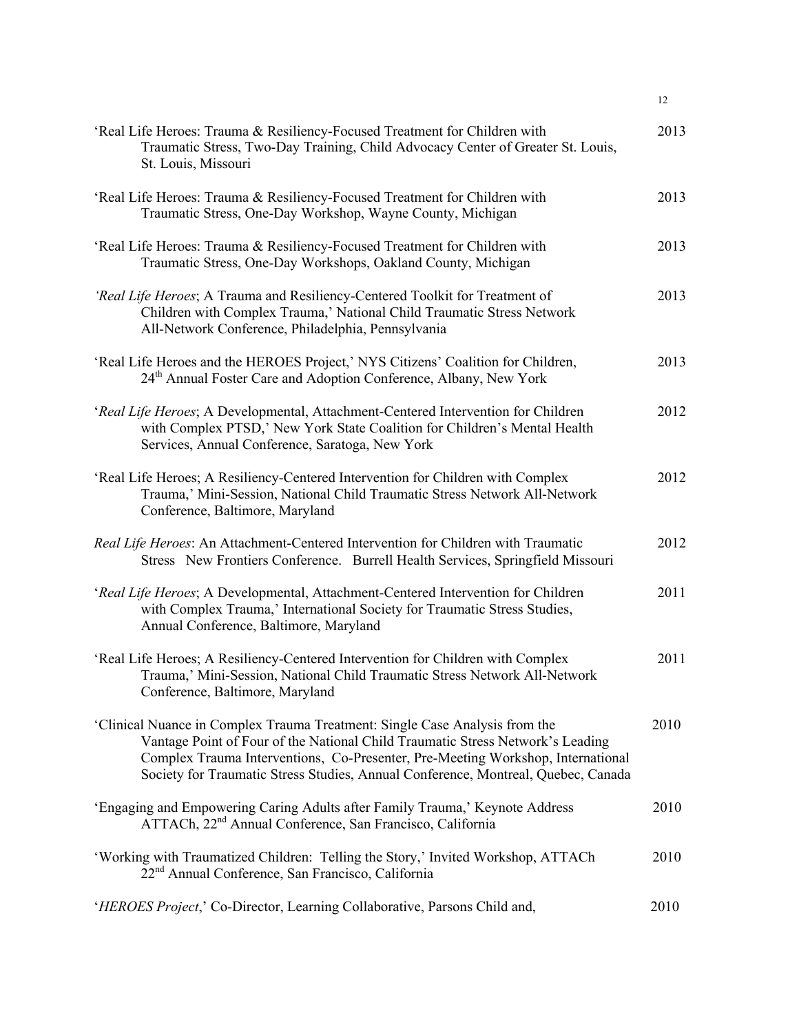| 'Real Life Heroes: Trauma & Resiliency-Focused Treatment for Children with<br>Traumatic Stress, Two-Day Training, Child Advocacy Center of Greater St. Louis,<br>St. Louis, Missouri                                                                                                                                                  | 2013 |
|---------------------------------------------------------------------------------------------------------------------------------------------------------------------------------------------------------------------------------------------------------------------------------------------------------------------------------------|------|
| 'Real Life Heroes: Trauma & Resiliency-Focused Treatment for Children with<br>Traumatic Stress, One-Day Workshop, Wayne County, Michigan                                                                                                                                                                                              | 2013 |
| 'Real Life Heroes: Trauma & Resiliency-Focused Treatment for Children with<br>Traumatic Stress, One-Day Workshops, Oakland County, Michigan                                                                                                                                                                                           | 2013 |
| 'Real Life Heroes; A Trauma and Resiliency-Centered Toolkit for Treatment of<br>Children with Complex Trauma,' National Child Traumatic Stress Network<br>All-Network Conference, Philadelphia, Pennsylvania                                                                                                                          | 2013 |
| 'Real Life Heroes and the HEROES Project,' NYS Citizens' Coalition for Children,<br>24th Annual Foster Care and Adoption Conference, Albany, New York                                                                                                                                                                                 | 2013 |
| 'Real Life Heroes; A Developmental, Attachment-Centered Intervention for Children<br>with Complex PTSD,' New York State Coalition for Children's Mental Health<br>Services, Annual Conference, Saratoga, New York                                                                                                                     | 2012 |
| 'Real Life Heroes; A Resiliency-Centered Intervention for Children with Complex<br>Trauma,' Mini-Session, National Child Traumatic Stress Network All-Network<br>Conference, Baltimore, Maryland                                                                                                                                      | 2012 |
| Real Life Heroes: An Attachment-Centered Intervention for Children with Traumatic<br>Stress New Frontiers Conference. Burrell Health Services, Springfield Missouri                                                                                                                                                                   | 2012 |
| 'Real Life Heroes; A Developmental, Attachment-Centered Intervention for Children<br>with Complex Trauma,' International Society for Traumatic Stress Studies,<br>Annual Conference, Baltimore, Maryland                                                                                                                              | 2011 |
| 'Real Life Heroes; A Resiliency-Centered Intervention for Children with Complex<br>Trauma,' Mini-Session, National Child Traumatic Stress Network All-Network<br>Conference, Baltimore, Maryland                                                                                                                                      | 2011 |
| 'Clinical Nuance in Complex Trauma Treatment: Single Case Analysis from the<br>Vantage Point of Four of the National Child Traumatic Stress Network's Leading<br>Complex Trauma Interventions, Co-Presenter, Pre-Meeting Workshop, International<br>Society for Traumatic Stress Studies, Annual Conference, Montreal, Quebec, Canada | 2010 |
| 'Engaging and Empowering Caring Adults after Family Trauma,' Keynote Address<br>ATTACh, 22 <sup>nd</sup> Annual Conference, San Francisco, California                                                                                                                                                                                 | 2010 |
| 'Working with Traumatized Children: Telling the Story,' Invited Workshop, ATTACh<br>22 <sup>nd</sup> Annual Conference, San Francisco, California                                                                                                                                                                                     | 2010 |
| 'HEROES Project,' Co-Director, Learning Collaborative, Parsons Child and,                                                                                                                                                                                                                                                             | 2010 |

12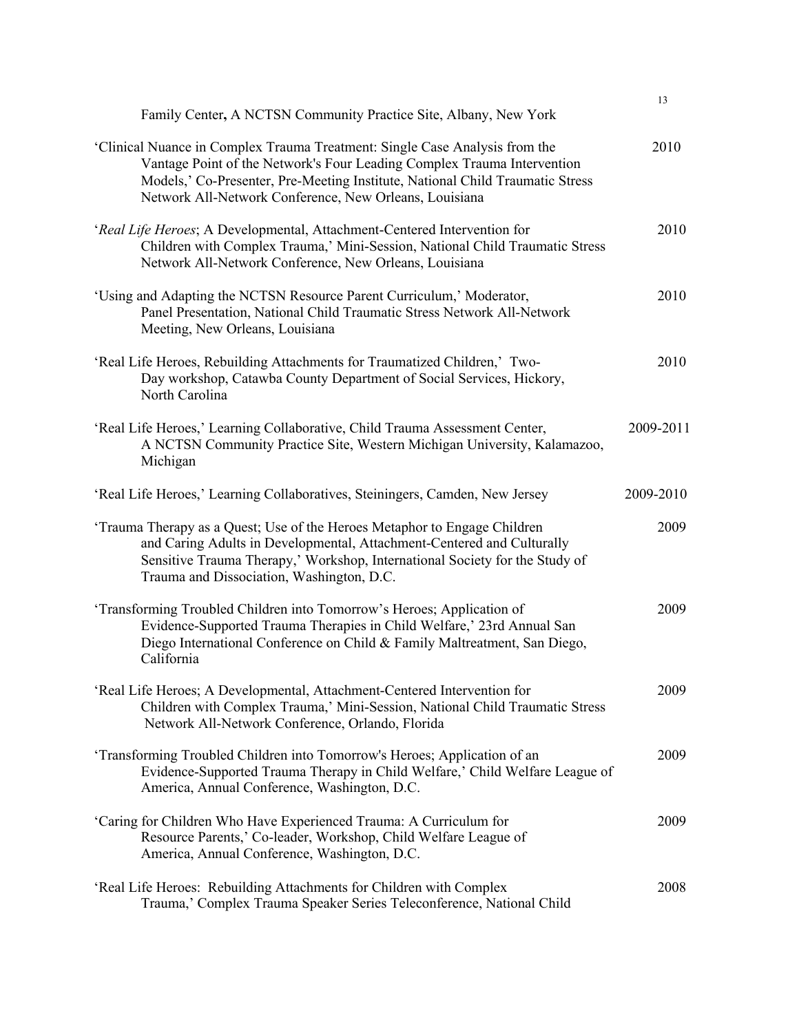| Family Center, A NCTSN Community Practice Site, Albany, New York                                                                                                                                                                                                                                  | 13        |  |
|---------------------------------------------------------------------------------------------------------------------------------------------------------------------------------------------------------------------------------------------------------------------------------------------------|-----------|--|
| 'Clinical Nuance in Complex Trauma Treatment: Single Case Analysis from the<br>Vantage Point of the Network's Four Leading Complex Trauma Intervention<br>Models,' Co-Presenter, Pre-Meeting Institute, National Child Traumatic Stress<br>Network All-Network Conference, New Orleans, Louisiana | 2010      |  |
| 'Real Life Heroes; A Developmental, Attachment-Centered Intervention for<br>Children with Complex Trauma,' Mini-Session, National Child Traumatic Stress<br>Network All-Network Conference, New Orleans, Louisiana                                                                                | 2010      |  |
| 'Using and Adapting the NCTSN Resource Parent Curriculum,' Moderator,<br>Panel Presentation, National Child Traumatic Stress Network All-Network<br>Meeting, New Orleans, Louisiana                                                                                                               | 2010      |  |
| 'Real Life Heroes, Rebuilding Attachments for Traumatized Children,' Two-<br>Day workshop, Catawba County Department of Social Services, Hickory,<br>North Carolina                                                                                                                               | 2010      |  |
| 'Real Life Heroes,' Learning Collaborative, Child Trauma Assessment Center,<br>A NCTSN Community Practice Site, Western Michigan University, Kalamazoo,<br>Michigan                                                                                                                               | 2009-2011 |  |
| 'Real Life Heroes,' Learning Collaboratives, Steiningers, Camden, New Jersey                                                                                                                                                                                                                      | 2009-2010 |  |
| 'Trauma Therapy as a Quest; Use of the Heroes Metaphor to Engage Children<br>and Caring Adults in Developmental, Attachment-Centered and Culturally<br>Sensitive Trauma Therapy,' Workshop, International Society for the Study of<br>Trauma and Dissociation, Washington, D.C.                   | 2009      |  |
| 'Transforming Troubled Children into Tomorrow's Heroes; Application of<br>Evidence-Supported Trauma Therapies in Child Welfare,' 23rd Annual San<br>Diego International Conference on Child & Family Maltreatment, San Diego,<br>California                                                       | 2009      |  |
| 'Real Life Heroes; A Developmental, Attachment-Centered Intervention for<br>Children with Complex Trauma,' Mini-Session, National Child Traumatic Stress<br>Network All-Network Conference, Orlando, Florida                                                                                      | 2009      |  |
| 'Transforming Troubled Children into Tomorrow's Heroes; Application of an<br>Evidence-Supported Trauma Therapy in Child Welfare,' Child Welfare League of<br>America, Annual Conference, Washington, D.C.                                                                                         | 2009      |  |
| 'Caring for Children Who Have Experienced Trauma: A Curriculum for<br>Resource Parents,' Co-leader, Workshop, Child Welfare League of<br>America, Annual Conference, Washington, D.C.                                                                                                             | 2009      |  |
| 'Real Life Heroes: Rebuilding Attachments for Children with Complex<br>Trauma,' Complex Trauma Speaker Series Teleconference, National Child                                                                                                                                                      | 2008      |  |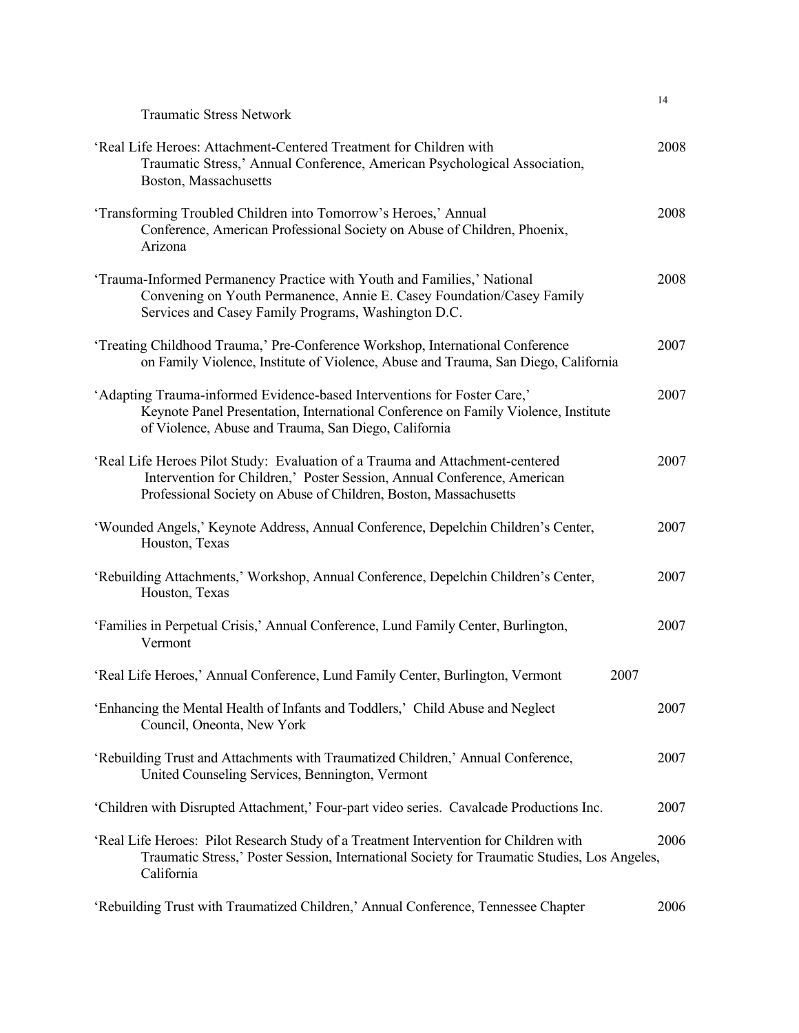| <b>Traumatic Stress Network</b>                                                                                                                                                                                              | 14   |
|------------------------------------------------------------------------------------------------------------------------------------------------------------------------------------------------------------------------------|------|
| 'Real Life Heroes: Attachment-Centered Treatment for Children with<br>Traumatic Stress,' Annual Conference, American Psychological Association,<br>Boston, Massachusetts                                                     | 2008 |
| 'Transforming Troubled Children into Tomorrow's Heroes,' Annual<br>Conference, American Professional Society on Abuse of Children, Phoenix,<br>Arizona                                                                       | 2008 |
| 'Trauma-Informed Permanency Practice with Youth and Families,' National<br>Convening on Youth Permanence, Annie E. Casey Foundation/Casey Family<br>Services and Casey Family Programs, Washington D.C.                      | 2008 |
| 'Treating Childhood Trauma,' Pre-Conference Workshop, International Conference<br>on Family Violence, Institute of Violence, Abuse and Trauma, San Diego, California                                                         | 2007 |
| 'Adapting Trauma-informed Evidence-based Interventions for Foster Care,'<br>Keynote Panel Presentation, International Conference on Family Violence, Institute<br>of Violence, Abuse and Trauma, San Diego, California       | 2007 |
| 'Real Life Heroes Pilot Study: Evaluation of a Trauma and Attachment-centered<br>Intervention for Children,' Poster Session, Annual Conference, American<br>Professional Society on Abuse of Children, Boston, Massachusetts | 2007 |
| 'Wounded Angels,' Keynote Address, Annual Conference, Depelchin Children's Center,<br>Houston, Texas                                                                                                                         | 2007 |
| 'Rebuilding Attachments,' Workshop, Annual Conference, Depelchin Children's Center,<br>Houston, Texas                                                                                                                        | 2007 |
| 'Families in Perpetual Crisis,' Annual Conference, Lund Family Center, Burlington,<br>Vermont                                                                                                                                | 2007 |
| 'Real Life Heroes,' Annual Conference, Lund Family Center, Burlington, Vermont<br>2007                                                                                                                                       |      |
| 'Enhancing the Mental Health of Infants and Toddlers,' Child Abuse and Neglect<br>Council, Oneonta, New York                                                                                                                 | 2007 |
| 'Rebuilding Trust and Attachments with Traumatized Children,' Annual Conference,<br>United Counseling Services, Bennington, Vermont                                                                                          | 2007 |
| 'Children with Disrupted Attachment,' Four-part video series. Cavalcade Productions Inc.                                                                                                                                     | 2007 |
| 'Real Life Heroes: Pilot Research Study of a Treatment Intervention for Children with<br>Traumatic Stress,' Poster Session, International Society for Traumatic Studies, Los Angeles,<br>California                          | 2006 |
| 'Rebuilding Trust with Traumatized Children,' Annual Conference, Tennessee Chapter                                                                                                                                           | 2006 |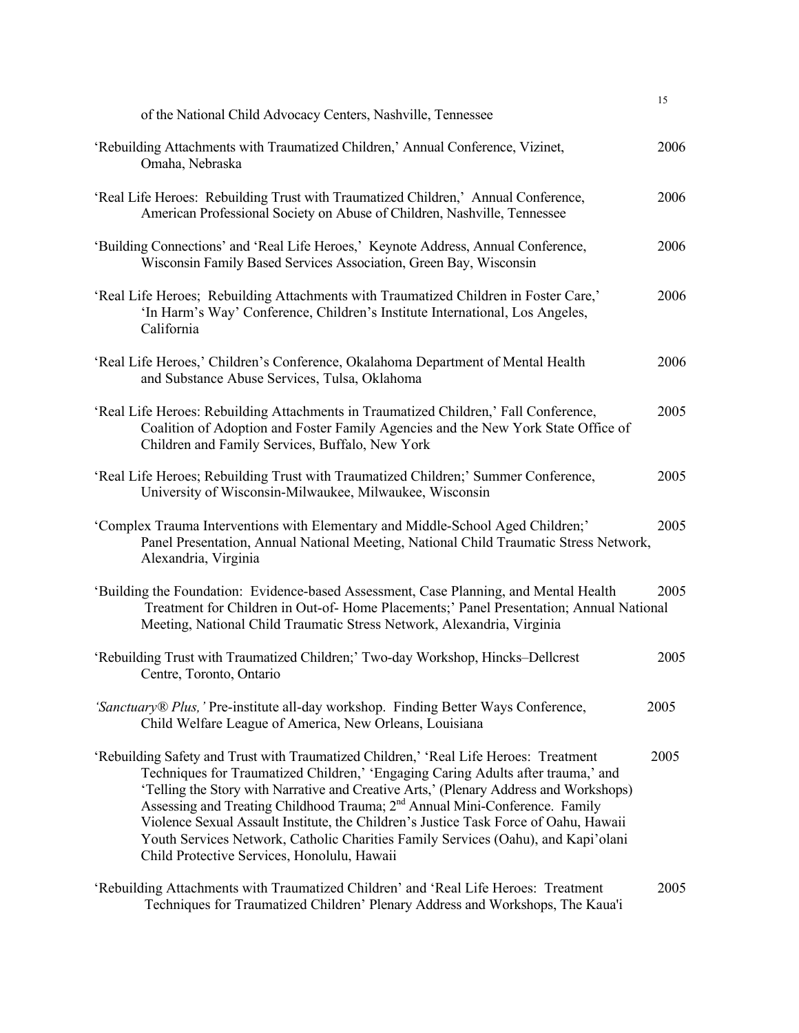| of the National Child Advocacy Centers, Nashville, Tennessee                                                                                                                                                                                                                                                                                                                                                                                                                                                                                                                              | 15   |
|-------------------------------------------------------------------------------------------------------------------------------------------------------------------------------------------------------------------------------------------------------------------------------------------------------------------------------------------------------------------------------------------------------------------------------------------------------------------------------------------------------------------------------------------------------------------------------------------|------|
|                                                                                                                                                                                                                                                                                                                                                                                                                                                                                                                                                                                           |      |
| 'Rebuilding Attachments with Traumatized Children,' Annual Conference, Vizinet,<br>Omaha, Nebraska                                                                                                                                                                                                                                                                                                                                                                                                                                                                                        | 2006 |
| 'Real Life Heroes: Rebuilding Trust with Traumatized Children,' Annual Conference,<br>American Professional Society on Abuse of Children, Nashville, Tennessee                                                                                                                                                                                                                                                                                                                                                                                                                            | 2006 |
| 'Building Connections' and 'Real Life Heroes,' Keynote Address, Annual Conference,<br>Wisconsin Family Based Services Association, Green Bay, Wisconsin                                                                                                                                                                                                                                                                                                                                                                                                                                   | 2006 |
| 'Real Life Heroes; Rebuilding Attachments with Traumatized Children in Foster Care,'<br>'In Harm's Way' Conference, Children's Institute International, Los Angeles,<br>California                                                                                                                                                                                                                                                                                                                                                                                                        | 2006 |
| 'Real Life Heroes,' Children's Conference, Okalahoma Department of Mental Health<br>and Substance Abuse Services, Tulsa, Oklahoma                                                                                                                                                                                                                                                                                                                                                                                                                                                         | 2006 |
| 'Real Life Heroes: Rebuilding Attachments in Traumatized Children,' Fall Conference,<br>Coalition of Adoption and Foster Family Agencies and the New York State Office of<br>Children and Family Services, Buffalo, New York                                                                                                                                                                                                                                                                                                                                                              | 2005 |
| 'Real Life Heroes; Rebuilding Trust with Traumatized Children;' Summer Conference,<br>University of Wisconsin-Milwaukee, Milwaukee, Wisconsin                                                                                                                                                                                                                                                                                                                                                                                                                                             | 2005 |
| 'Complex Trauma Interventions with Elementary and Middle-School Aged Children;'<br>Panel Presentation, Annual National Meeting, National Child Traumatic Stress Network,<br>Alexandria, Virginia                                                                                                                                                                                                                                                                                                                                                                                          | 2005 |
| 'Building the Foundation: Evidence-based Assessment, Case Planning, and Mental Health<br>Treatment for Children in Out-of-Home Placements;' Panel Presentation; Annual National<br>Meeting, National Child Traumatic Stress Network, Alexandria, Virginia                                                                                                                                                                                                                                                                                                                                 | 2005 |
| 'Rebuilding Trust with Traumatized Children;' Two-day Workshop, Hincks-Dellcrest<br>Centre, Toronto, Ontario                                                                                                                                                                                                                                                                                                                                                                                                                                                                              | 2005 |
| 'Sanctuary® Plus,' Pre-institute all-day workshop. Finding Better Ways Conference,<br>Child Welfare League of America, New Orleans, Louisiana                                                                                                                                                                                                                                                                                                                                                                                                                                             | 2005 |
| 'Rebuilding Safety and Trust with Traumatized Children,' 'Real Life Heroes: Treatment<br>Techniques for Traumatized Children,' 'Engaging Caring Adults after trauma,' and<br>'Telling the Story with Narrative and Creative Arts,' (Plenary Address and Workshops)<br>Assessing and Treating Childhood Trauma; 2 <sup>nd</sup> Annual Mini-Conference. Family<br>Violence Sexual Assault Institute, the Children's Justice Task Force of Oahu, Hawaii<br>Youth Services Network, Catholic Charities Family Services (Oahu), and Kapi'olani<br>Child Protective Services, Honolulu, Hawaii | 2005 |
| 'Rebuilding Attachments with Traumatized Children' and 'Real Life Heroes: Treatment<br>Techniques for Traumatized Children' Plenary Address and Workshops, The Kaua'i                                                                                                                                                                                                                                                                                                                                                                                                                     | 2005 |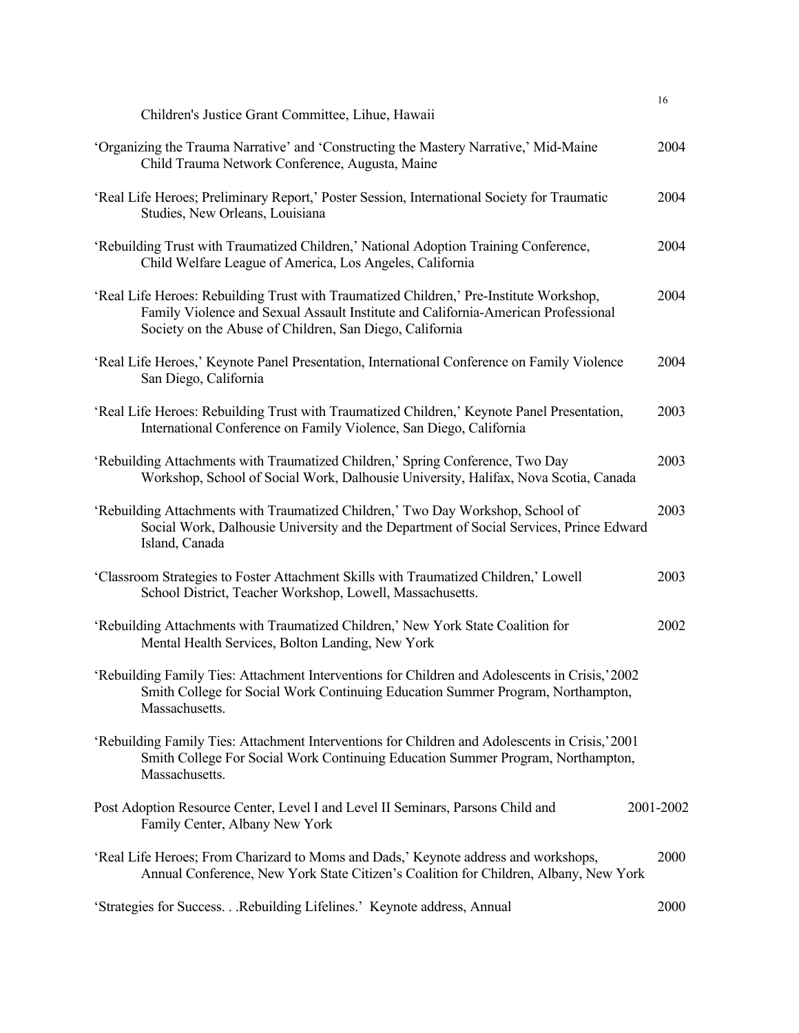|                                                                                                                                                                                                                                         | 16        |
|-----------------------------------------------------------------------------------------------------------------------------------------------------------------------------------------------------------------------------------------|-----------|
| Children's Justice Grant Committee, Lihue, Hawaii                                                                                                                                                                                       |           |
| 'Organizing the Trauma Narrative' and 'Constructing the Mastery Narrative,' Mid-Maine<br>Child Trauma Network Conference, Augusta, Maine                                                                                                | 2004      |
| 'Real Life Heroes; Preliminary Report,' Poster Session, International Society for Traumatic<br>Studies, New Orleans, Louisiana                                                                                                          | 2004      |
| 'Rebuilding Trust with Traumatized Children,' National Adoption Training Conference,<br>Child Welfare League of America, Los Angeles, California                                                                                        | 2004      |
| 'Real Life Heroes: Rebuilding Trust with Traumatized Children,' Pre-Institute Workshop,<br>Family Violence and Sexual Assault Institute and California-American Professional<br>Society on the Abuse of Children, San Diego, California | 2004      |
| 'Real Life Heroes,' Keynote Panel Presentation, International Conference on Family Violence<br>San Diego, California                                                                                                                    | 2004      |
| 'Real Life Heroes: Rebuilding Trust with Traumatized Children,' Keynote Panel Presentation,<br>International Conference on Family Violence, San Diego, California                                                                       | 2003      |
| 'Rebuilding Attachments with Traumatized Children,' Spring Conference, Two Day<br>Workshop, School of Social Work, Dalhousie University, Halifax, Nova Scotia, Canada                                                                   | 2003      |
| 'Rebuilding Attachments with Traumatized Children,' Two Day Workshop, School of<br>Social Work, Dalhousie University and the Department of Social Services, Prince Edward<br>Island, Canada                                             | 2003      |
| 'Classroom Strategies to Foster Attachment Skills with Traumatized Children,' Lowell<br>School District, Teacher Workshop, Lowell, Massachusetts.                                                                                       | 2003      |
| 'Rebuilding Attachments with Traumatized Children,' New York State Coalition for<br>Mental Health Services, Bolton Landing, New York                                                                                                    | 2002      |
| 'Rebuilding Family Ties: Attachment Interventions for Children and Adolescents in Crisis,' 2002<br>Smith College for Social Work Continuing Education Summer Program, Northampton,<br>Massachusetts.                                    |           |
| 'Rebuilding Family Ties: Attachment Interventions for Children and Adolescents in Crisis,'2001<br>Smith College For Social Work Continuing Education Summer Program, Northampton,<br>Massachusetts.                                     |           |
| Post Adoption Resource Center, Level I and Level II Seminars, Parsons Child and<br>Family Center, Albany New York                                                                                                                       | 2001-2002 |
| 'Real Life Heroes; From Charizard to Moms and Dads,' Keynote address and workshops,<br>Annual Conference, New York State Citizen's Coalition for Children, Albany, New York                                                             | 2000      |
| 'Strategies for SuccessRebuilding Lifelines.' Keynote address, Annual                                                                                                                                                                   | 2000      |
|                                                                                                                                                                                                                                         |           |